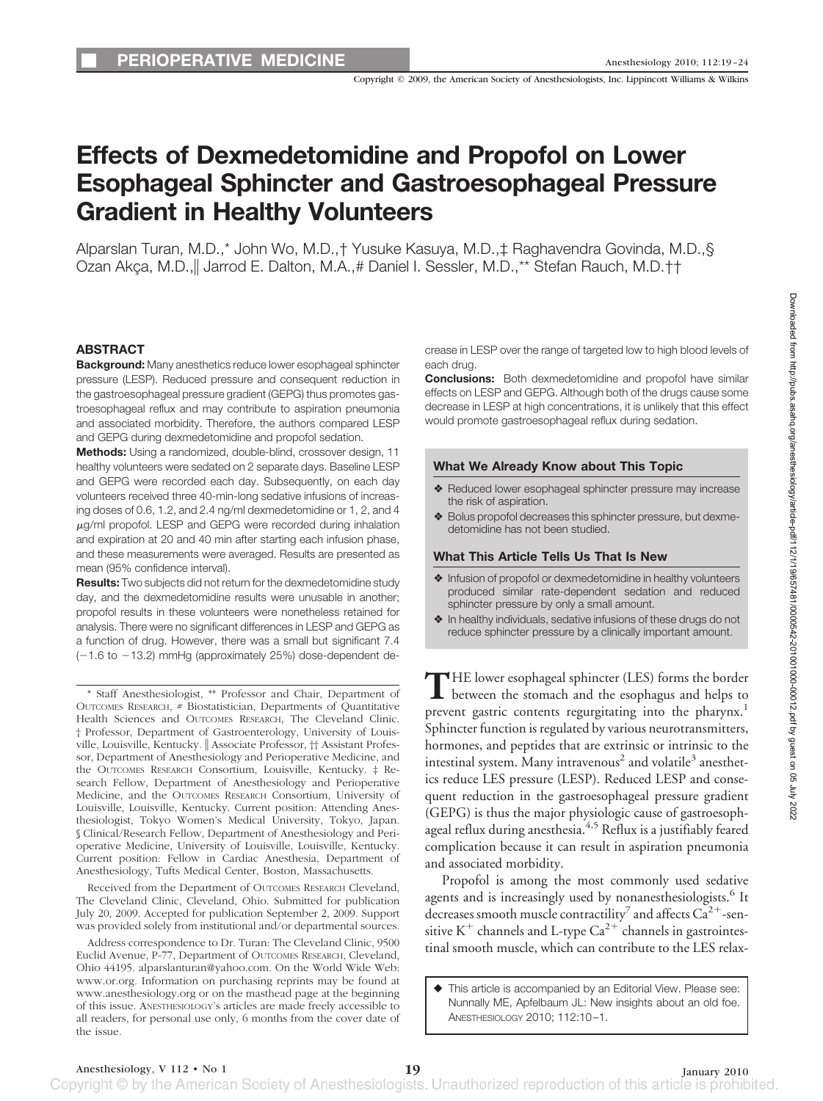Copyright © 2009, the American Society of Anesthesiologists, Inc. Lippincott Williams & Wilkins

# **Effects of Dexmedetomidine and Propofol on Lower Esophageal Sphincter and Gastroesophageal Pressure Gradient in Healthy Volunteers**

Alparslan Turan, M.D.,\* John Wo, M.D.,† Yusuke Kasuya, M.D.,‡ Raghavendra Govinda, M.D.,§ Ozan Akça, M.D., Jarrod E. Dalton, M.A., # Daniel I. Sessler, M.D., \*\* Stefan Rauch, M.D. † †

## **ABSTRACT**

**Background:** Many anesthetics reduce lower esophageal sphincter pressure (LESP). Reduced pressure and consequent reduction in the gastroesophageal pressure gradient (GEPG) thus promotes gastroesophageal reflux and may contribute to aspiration pneumonia and associated morbidity. Therefore, the authors compared LESP and GEPG during dexmedetomidine and propofol sedation.

**Methods:** Using a randomized, double-blind, crossover design, 11 healthy volunteers were sedated on 2 separate days. Baseline LESP and GEPG were recorded each day. Subsequently, on each day volunteers received three 40-min-long sedative infusions of increasing doses of 0.6, 1.2, and 2.4 ng/ml dexmedetomidine or 1, 2, and 4  $\mu$ g/ml propofol. LESP and GEPG were recorded during inhalation and expiration at 20 and 40 min after starting each infusion phase, and these measurements were averaged. Results are presented as mean (95% confidence interval).

**Results:** Two subjects did not return for the dexmedetomidine study day, and the dexmedetomidine results were unusable in another; propofol results in these volunteers were nonetheless retained for analysis. There were no significant differences in LESP and GEPG as a function of drug. However, there was a small but significant 7.4  $(-1.6$  to  $-13.2)$  mmHg (approximately 25%) dose-dependent de-

\* Staff Anesthesiologist, \*\* Professor and Chair, Department of OUTCOMES RESEARCH, # Biostatistician, Departments of Quantitative Health Sciences and OUTCOMES RESEARCH, The Cleveland Clinic. † Professor, Department of Gastroenterology, University of Louisville, Louisville, Kentucky. || Associate Professor, †† Assistant Professor, Department of Anesthesiology and Perioperative Medicine, and the OUTCOMES RESEARCH Consortium, Louisville, Kentucky. ‡ Research Fellow, Department of Anesthesiology and Perioperative Medicine, and the OUTCOMES RESEARCH Consortium, University of Louisville, Louisville, Kentucky. Current position: Attending Anesthesiologist, Tokyo Women's Medical University, Tokyo, Japan. § Clinical/Research Fellow, Department of Anesthesiology and Perioperative Medicine, University of Louisville, Louisville, Kentucky. Current position: Fellow in Cardiac Anesthesia, Department of Anesthesiology, Tufts Medical Center, Boston, Massachusetts.

Received from the Department of OUTCOMES RESEARCH Cleveland, The Cleveland Clinic, Cleveland, Ohio. Submitted for publication July 20, 2009. Accepted for publication September 2, 2009. Support was provided solely from institutional and/or departmental sources.

Address correspondence to Dr. Turan: The Cleveland Clinic, 9500 Euclid Avenue, P-77, Department of OUTCOMES RESEARCH, Cleveland, Ohio 44195. alparslanturan@yahoo.com. On the World Wide Web: www.or.org. Information on purchasing reprints may be found at www.anesthesiology.org or on the masthead page at the beginning of this issue. ANESTHESIOLOGY's articles are made freely accessible to all readers, for personal use only, 6 months from the cover date of the issue.

crease in LESP over the range of targeted low to high blood levels of each drug.

**Conclusions:** Both dexmedetomidine and propofol have similar effects on LESP and GEPG. Although both of the drugs cause some decrease in LESP at high concentrations, it is unlikely that this effect would promote gastroesophageal reflux during sedation.

#### **What We Already Know about This Topic**

- ❖ Reduced lower esophageal sphincter pressure may increase the risk of aspiration.
- ❖ Bolus propofol decreases this sphincter pressure, but dexmedetomidine has not been studied.

#### **What This Article Tells Us That Is New**

- ❖ Infusion of propofol or dexmedetomidine in healthy volunteers produced similar rate-dependent sedation and reduced sphincter pressure by only a small amount.
- ❖ In healthy individuals, sedative infusions of these drugs do not reduce sphincter pressure by a clinically important amount.

THE lower esophageal sphincter (LES) forms the border<br>between the stomach and the esophagus and helps to prevent gastric contents regurgitating into the pharynx.<sup>1</sup> Sphincter function is regulated by various neurotransmitters, hormones, and peptides that are extrinsic or intrinsic to the intestinal system. Many intravenous<sup>2</sup> and volatile<sup>3</sup> anesthetics reduce LES pressure (LESP). Reduced LESP and consequent reduction in the gastroesophageal pressure gradient (GEPG) is thus the major physiologic cause of gastroesophageal reflux during anesthesia.<sup>4,5</sup> Reflux is a justifiably feared complication because it can result in aspiration pneumonia and associated morbidity.

Propofol is among the most commonly used sedative agents and is increasingly used by nonanesthesiologists.<sup>6</sup> It decreases smooth muscle contractility<sup>7</sup> and affects  $Ca^{2+}$ -sensitive K<sup>+</sup> channels and L-type Ca<sup>2+</sup> channels in gastrointestinal smooth muscle, which can contribute to the LES relax-

 This article is accompanied by an Editorial View. Please see: Nunnally ME, Apfelbaum JL: New insights about an old foe. ANESTHESIOLOGY 2010; 112:10 –1.

Anesthesiology, V 112 • No 1<br>Copyright © by the American Society of Anesthesiologists. Unauthorized reproduction of this article is prohibited.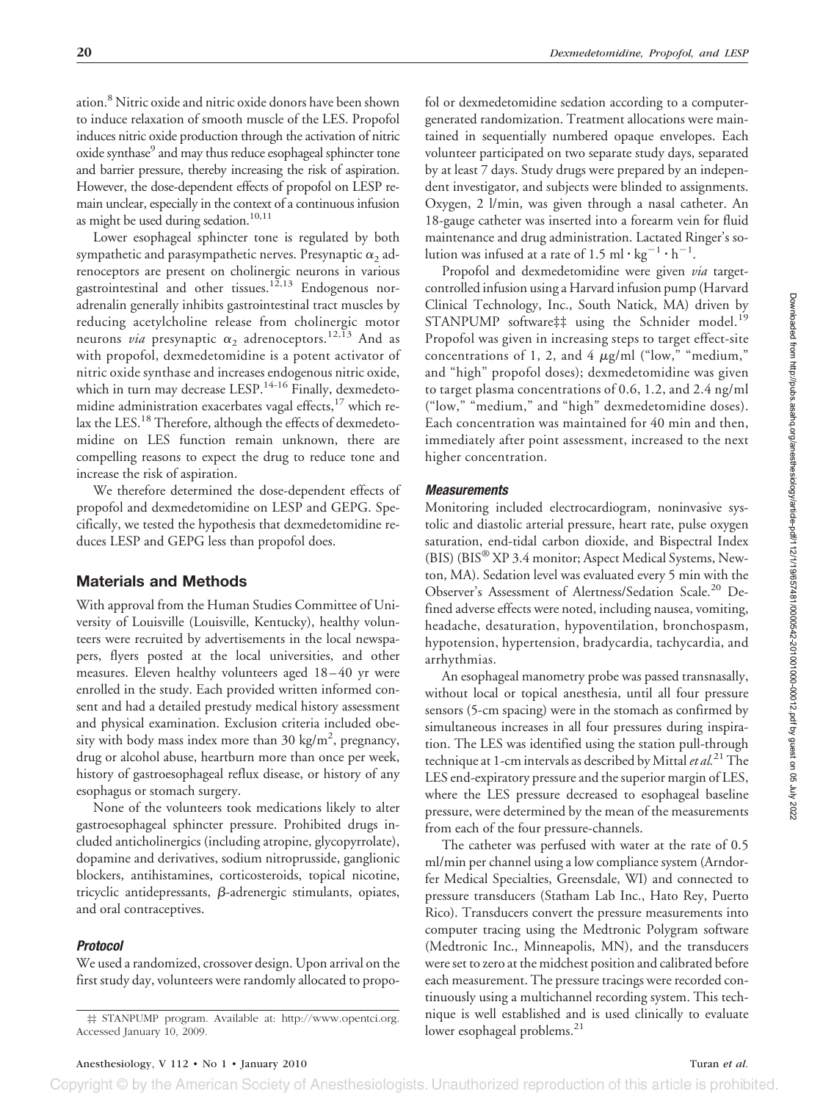ation.8 Nitric oxide and nitric oxide donors have been shown to induce relaxation of smooth muscle of the LES. Propofol induces nitric oxide production through the activation of nitric oxide synthase<sup>9</sup> and may thus reduce esophageal sphincter tone and barrier pressure, thereby increasing the risk of aspiration. However, the dose-dependent effects of propofol on LESP remain unclear, especially in the context of a continuous infusion as might be used during sedation. $10,11$ 

Lower esophageal sphincter tone is regulated by both sympathetic and parasympathetic nerves. Presynaptic  $\alpha_2$  adrenoceptors are present on cholinergic neurons in various gastrointestinal and other tissues.<sup>12,13</sup> Endogenous noradrenalin generally inhibits gastrointestinal tract muscles by reducing acetylcholine release from cholinergic motor neurons *via* presynaptic  $\alpha_2$  adrenoceptors.<sup>12,13</sup> And as with propofol, dexmedetomidine is a potent activator of nitric oxide synthase and increases endogenous nitric oxide, which in turn may decrease LESP.<sup>14-16</sup> Finally, dexmedetomidine administration exacerbates vagal effects, $17$  which relax the LES.<sup>18</sup> Therefore, although the effects of dexmedetomidine on LES function remain unknown, there are compelling reasons to expect the drug to reduce tone and increase the risk of aspiration.

We therefore determined the dose-dependent effects of propofol and dexmedetomidine on LESP and GEPG. Specifically, we tested the hypothesis that dexmedetomidine reduces LESP and GEPG less than propofol does.

## **Materials and Methods**

With approval from the Human Studies Committee of University of Louisville (Louisville, Kentucky), healthy volunteers were recruited by advertisements in the local newspapers, flyers posted at the local universities, and other measures. Eleven healthy volunteers aged 18 – 40 yr were enrolled in the study. Each provided written informed consent and had a detailed prestudy medical history assessment and physical examination. Exclusion criteria included obesity with body mass index more than 30 kg/m<sup>2</sup>, pregnancy, drug or alcohol abuse, heartburn more than once per week, history of gastroesophageal reflux disease, or history of any esophagus or stomach surgery.

None of the volunteers took medications likely to alter gastroesophageal sphincter pressure. Prohibited drugs included anticholinergics (including atropine, glycopyrrolate), dopamine and derivatives, sodium nitroprusside, ganglionic blockers, antihistamines, corticosteroids, topical nicotine, tricyclic antidepressants,  $\beta$ -adrenergic stimulants, opiates, and oral contraceptives.

## *Protocol*

We used a randomized, crossover design. Upon arrival on the first study day, volunteers were randomly allocated to propofol or dexmedetomidine sedation according to a computergenerated randomization. Treatment allocations were maintained in sequentially numbered opaque envelopes. Each volunteer participated on two separate study days, separated by at least 7 days. Study drugs were prepared by an independent investigator, and subjects were blinded to assignments. Oxygen, 2 l/min, was given through a nasal catheter. An 18-gauge catheter was inserted into a forearm vein for fluid maintenance and drug administration. Lactated Ringer's solution was infused at a rate of 1.5 ml  $\cdot$  kg<sup>-1</sup>  $\cdot$  h<sup>-1</sup>.

Propofol and dexmedetomidine were given *via* targetcontrolled infusion using a Harvard infusion pump (Harvard Clinical Technology, Inc., South Natick, MA) driven by STANPUMP software## using the Schnider model.<sup>19</sup> Propofol was given in increasing steps to target effect-site concentrations of 1, 2, and 4  $\mu$ g/ml ("low," "medium," and "high" propofol doses); dexmedetomidine was given to target plasma concentrations of 0.6, 1.2, and 2.4 ng/ml ("low," "medium," and "high" dexmedetomidine doses). Each concentration was maintained for 40 min and then, immediately after point assessment, increased to the next higher concentration.

#### *Measurements*

Monitoring included electrocardiogram, noninvasive systolic and diastolic arterial pressure, heart rate, pulse oxygen saturation, end-tidal carbon dioxide, and Bispectral Index (BIS) (BIS® XP 3.4 monitor; Aspect Medical Systems, Newton, MA). Sedation level was evaluated every 5 min with the Observer's Assessment of Alertness/Sedation Scale.<sup>20</sup> Defined adverse effects were noted, including nausea, vomiting, headache, desaturation, hypoventilation, bronchospasm, hypotension, hypertension, bradycardia, tachycardia, and arrhythmias.

An esophageal manometry probe was passed transnasally, without local or topical anesthesia, until all four pressure sensors (5-cm spacing) were in the stomach as confirmed by simultaneous increases in all four pressures during inspiration. The LES was identified using the station pull-through technique at 1-cm intervals as described by Mittal*et al.*21The LES end-expiratory pressure and the superior margin of LES, where the LES pressure decreased to esophageal baseline pressure, were determined by the mean of the measurements from each of the four pressure-channels.

The catheter was perfused with water at the rate of 0.5 ml/min per channel using a low compliance system (Arndorfer Medical Specialties, Greensdale, WI) and connected to pressure transducers (Statham Lab Inc., Hato Rey, Puerto Rico). Transducers convert the pressure measurements into computer tracing using the Medtronic Polygram software (Medtronic Inc., Minneapolis, MN), and the transducers were set to zero at the midchest position and calibrated before each measurement. The pressure tracings were recorded continuously using a multichannel recording system. This technique is well established and is used clinically to evaluate

the STANPUMP program. Available at: http://www.opentci.org. hique is well established and ccessed January 10, 2009. Accessed January 10, 2009.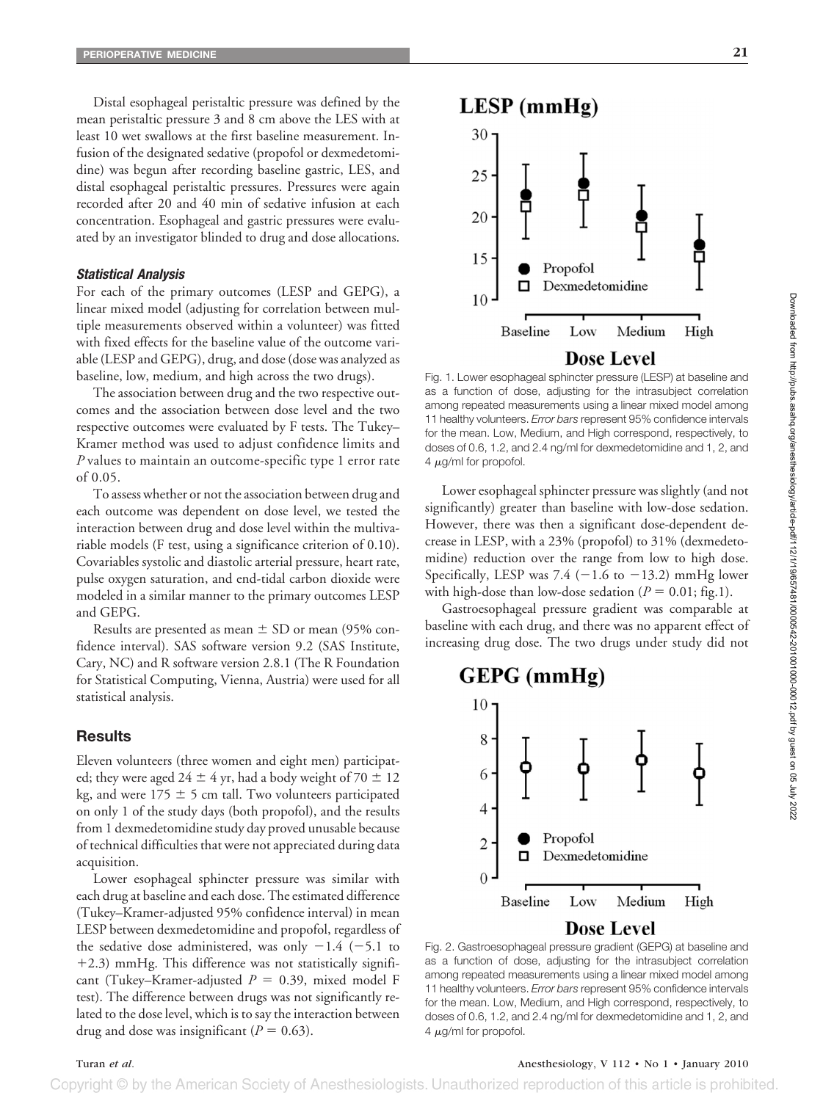Distal esophageal peristaltic pressure was defined by the mean peristaltic pressure 3 and 8 cm above the LES with at least 10 wet swallows at the first baseline measurement. Infusion of the designated sedative (propofol or dexmedetomidine) was begun after recording baseline gastric, LES, and distal esophageal peristaltic pressures. Pressures were again recorded after 20 and 40 min of sedative infusion at each concentration. Esophageal and gastric pressures were evaluated by an investigator blinded to drug and dose allocations.

#### *Statistical Analysis*

For each of the primary outcomes (LESP and GEPG), a linear mixed model (adjusting for correlation between multiple measurements observed within a volunteer) was fitted with fixed effects for the baseline value of the outcome variable (LESP and GEPG), drug, and dose (dose was analyzed as baseline, low, medium, and high across the two drugs).

The association between drug and the two respective outcomes and the association between dose level and the two respective outcomes were evaluated by F tests. The Tukey– Kramer method was used to adjust confidence limits and *P* values to maintain an outcome-specific type 1 error rate of 0.05.

To assess whether or not the association between drug and each outcome was dependent on dose level, we tested the interaction between drug and dose level within the multivariable models (F test, using a significance criterion of 0.10). Covariables systolic and diastolic arterial pressure, heart rate, pulse oxygen saturation, and end-tidal carbon dioxide were modeled in a similar manner to the primary outcomes LESP and GEPG.

Results are presented as mean  $\pm$  SD or mean (95% confidence interval). SAS software version 9.2 (SAS Institute, Cary, NC) and R software version 2.8.1 (The R Foundation for Statistical Computing, Vienna, Austria) were used for all statistical analysis.

#### **Results**

Eleven volunteers (three women and eight men) participated; they were aged 24  $\pm$  4 yr, had a body weight of 70  $\pm$  12 kg, and were 175  $\pm$  5 cm tall. Two volunteers participated on only 1 of the study days (both propofol), and the results from 1 dexmedetomidine study day proved unusable because of technical difficulties that were not appreciated during data acquisition.

Lower esophageal sphincter pressure was similar with each drug at baseline and each dose. The estimated difference (Tukey–Kramer-adjusted 95% confidence interval) in mean LESP between dexmedetomidine and propofol, regardless of the sedative dose administered, was only  $-1.4$  (-5.1 to -2.3) mmHg. This difference was not statistically significant (Tukey–Kramer-adjusted  $P = 0.39$ , mixed model F test). The difference between drugs was not significantly related to the dose level, which is to say the interaction between drug and dose was insignificant  $(P = 0.63)$ .



# **Dose Level**

Fig. 1. Lower esophageal sphincter pressure (LESP) at baseline and as a function of dose, adjusting for the intrasubject correlation among repeated measurements using a linear mixed model among 11 healthy volunteers. *Error bars* represent 95% confidence intervals for the mean. Low, Medium, and High correspond, respectively, to doses of 0.6, 1.2, and 2.4 ng/ml for dexmedetomidine and 1, 2, and  $4 \mu$ g/ml for propofol.

Lower esophageal sphincter pressure was slightly (and not significantly) greater than baseline with low-dose sedation. However, there was then a significant dose-dependent decrease in LESP, with a 23% (propofol) to 31% (dexmedetomidine) reduction over the range from low to high dose. Specifically, LESP was 7.4  $(-1.6 \text{ to } -13.2)$  mmHg lower with high-dose than low-dose sedation ( $P = 0.01$ ; fig.1).

Gastroesophageal pressure gradient was comparable at baseline with each drug, and there was no apparent effect of increasing drug dose. The two drugs under study did not



Fig. 2. Gastroesophageal pressure gradient (GEPG) at baseline and as a function of dose, adjusting for the intrasubject correlation among repeated measurements using a linear mixed model among 11 healthy volunteers. *Error bars* represent 95% confidence intervals for the mean. Low, Medium, and High correspond, respectively, to doses of 0.6, 1.2, and 2.4 ng/ml for dexmedetomidine and 1, 2, and  $4 \mu g$ /ml for propofol.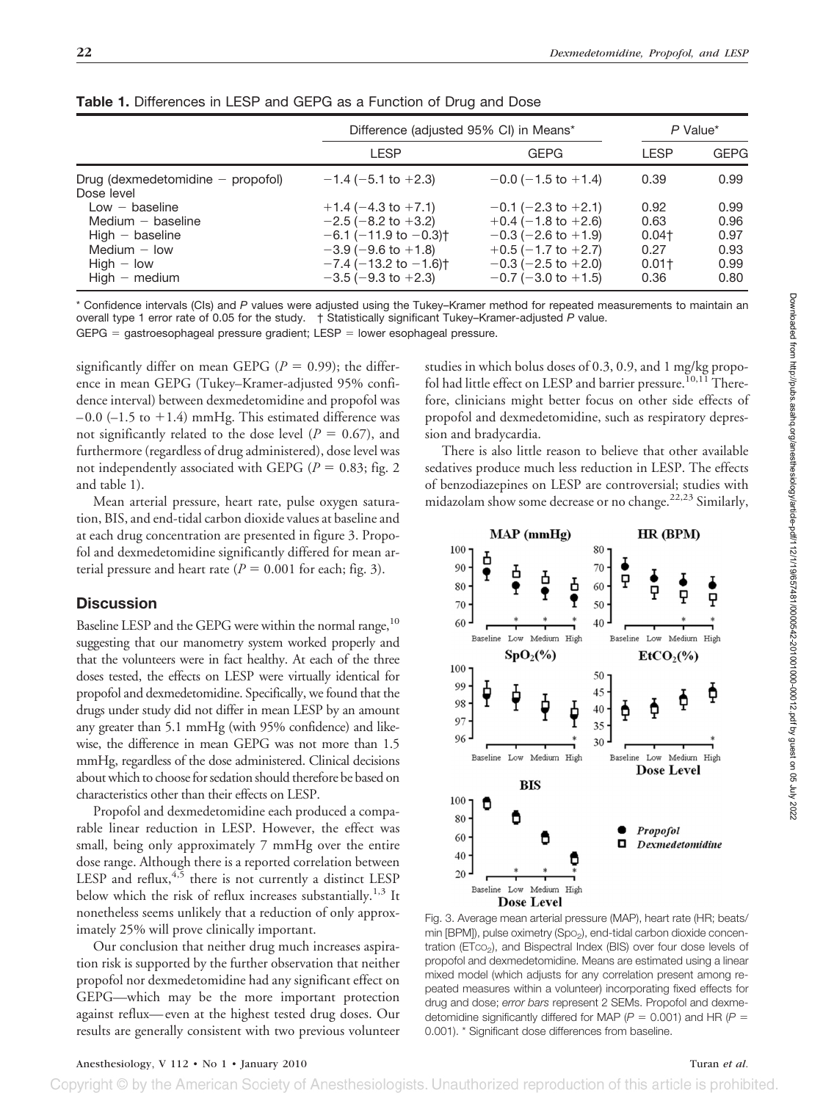|                                                   | Difference (adjusted 95% CI) in Means*                                   |                                                      | P Value*            |              |
|---------------------------------------------------|--------------------------------------------------------------------------|------------------------------------------------------|---------------------|--------------|
|                                                   | <b>LESP</b>                                                              | <b>GEPG</b>                                          | <b>LESP</b>         | <b>GEPG</b>  |
| Drug (dexmedetomidine $-$ propofol)<br>Dose level | $-1.4$ (-5.1 to +2.3)                                                    | $-0.0$ ( $-1.5$ to $+1.4$ )                          | 0.39                | 0.99         |
| $Low - baseline$<br>Medium $-$ baseline           | $+1.4$ (-4.3 to +7.1)                                                    | $-0.1$ (-2.3 to +2.1)                                | 0.92<br>0.63        | 0.99<br>0.96 |
| $High - baseline$                                 | $-2.5$ ( $-8.2$ to $+3.2$ )<br>$-6.1$ ( $-11.9$ to $-0.3$ ) <sup>+</sup> | $+0.4$ (-1.8 to +2.6)<br>$-0.3$ ( $-2.6$ to $+1.9$ ) | $0.04$ <sup>+</sup> | 0.97         |
| Medium $-$ low<br>$High - low$                    | $-3.9$ ( $-9.6$ to $+1.8$ )<br>$-7.4$ ( $-13.2$ to $-1.6$ ) <sup>+</sup> | $+0.5$ (-1.7 to +2.7)<br>$-0.3$ ( $-2.5$ to $+2.0$ ) | 0.27<br>$0.01+$     | 0.93<br>0.99 |
| $High - medium$                                   | $-3.5$ ( $-9.3$ to $+2.3$ )                                              | $-0.7$ ( $-3.0$ to $+1.5$ )                          | 0.36                | 0.80         |

**Table 1.** Differences in LESP and GEPG as a Function of Drug and Dose

\* Confidence intervals (CIs) and *P* values were adjusted using the Tukey–Kramer method for repeated measurements to maintain an overall type 1 error rate of 0.05 for the study. † Statistically significant Tukey–Kramer-adjusted *P* value.  $GEPG =$  gastroesophageal pressure gradient; LESP = lower esophageal pressure.

significantly differ on mean GEPG ( $P = 0.99$ ); the difference in mean GEPG (Tukey–Kramer-adjusted 95% confidence interval) between dexmedetomidine and propofol was  $-0.0$  ( $-1.5$  to  $+1.4$ ) mmHg. This estimated difference was not significantly related to the dose level  $(P = 0.67)$ , and furthermore (regardless of drug administered), dose level was not independently associated with GEPG ( $P = 0.83$ ; fig. 2 and table 1).

Mean arterial pressure, heart rate, pulse oxygen saturation, BIS, and end-tidal carbon dioxide values at baseline and at each drug concentration are presented in figure 3. Propofol and dexmedetomidine significantly differed for mean arterial pressure and heart rate  $(P = 0.001$  for each; fig. 3).

# **Discussion**

Baseline LESP and the GEPG were within the normal range,<sup>10</sup> suggesting that our manometry system worked properly and that the volunteers were in fact healthy. At each of the three doses tested, the effects on LESP were virtually identical for propofol and dexmedetomidine. Specifically, we found that the drugs under study did not differ in mean LESP by an amount any greater than 5.1 mmHg (with 95% confidence) and likewise, the difference in mean GEPG was not more than 1.5 mmHg, regardless of the dose administered. Clinical decisions about which to choose for sedation should therefore be based on characteristics other than their effects on LESP.

Propofol and dexmedetomidine each produced a comparable linear reduction in LESP. However, the effect was small, being only approximately 7 mmHg over the entire dose range. Although there is a reported correlation between LESP and reflux,  $4,5$  there is not currently a distinct LESP below which the risk of reflux increases substantially.<sup>1,3</sup> It nonetheless seems unlikely that a reduction of only approximately 25% will prove clinically important.

Our conclusion that neither drug much increases aspiration risk is supported by the further observation that neither propofol nor dexmedetomidine had any significant effect on GEPG—which may be the more important protection against reflux— even at the highest tested drug doses. Our results are generally consistent with two previous volunteer studies in which bolus doses of 0.3, 0.9, and 1 mg/kg propofol had little effect on LESP and barrier pressure.<sup>10,11</sup> Therefore, clinicians might better focus on other side effects of propofol and dexmedetomidine, such as respiratory depression and bradycardia.

There is also little reason to believe that other available sedatives produce much less reduction in LESP. The effects of benzodiazepines on LESP are controversial; studies with midazolam show some decrease or no change.<sup>22,23</sup> Similarly,



Fig. 3. Average mean arterial pressure (MAP), heart rate (HR; beats/ min [BPM]), pulse oximetry (Spo<sub>2</sub>), end-tidal carbon dioxide concentration (ETco<sub>2</sub>), and Bispectral Index (BIS) over four dose levels of propofol and dexmedetomidine. Means are estimated using a linear mixed model (which adjusts for any correlation present among repeated measures within a volunteer) incorporating fixed effects for drug and dose; *error bars* represent 2 SEMs. Propofol and dexmedetomidine significantly differed for MAP ( $P = 0.001$ ) and HR ( $P =$ 0.001). \* Significant dose differences from baseline.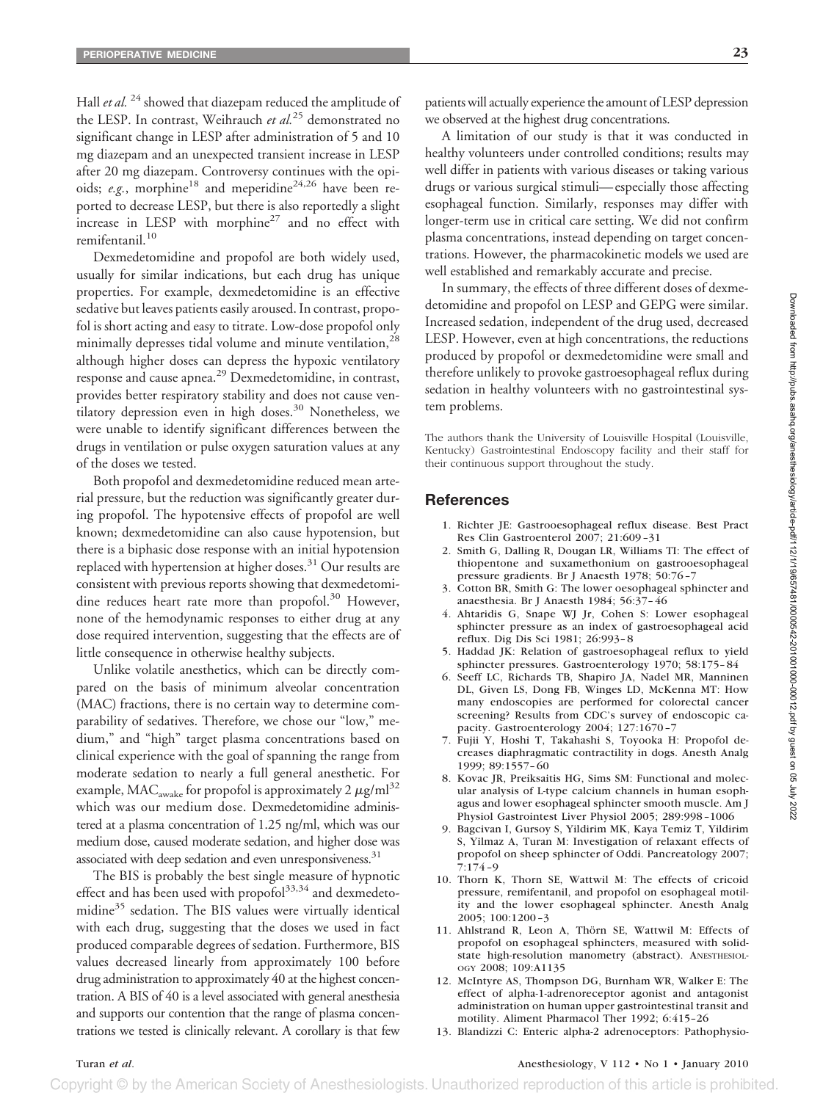Hall *et al.* <sup>24</sup> showed that diazepam reduced the amplitude of the LESP. In contrast, Weihrauch *et al.*<sup>25</sup> demonstrated no significant change in LESP after administration of 5 and 10 mg diazepam and an unexpected transient increase in LESP after 20 mg diazepam. Controversy continues with the opioids; *e.g.*, morphine<sup>18</sup> and meperidine<sup>24,26</sup> have been reported to decrease LESP, but there is also reportedly a slight increase in LESP with morphine<sup>27</sup> and no effect with remifentanil.<sup>10</sup>

Dexmedetomidine and propofol are both widely used, usually for similar indications, but each drug has unique properties. For example, dexmedetomidine is an effective sedative but leaves patients easily aroused. In contrast, propofol is short acting and easy to titrate. Low-dose propofol only minimally depresses tidal volume and minute ventilation,<sup>28</sup> although higher doses can depress the hypoxic ventilatory response and cause apnea.<sup>29</sup> Dexmedetomidine, in contrast, provides better respiratory stability and does not cause ventilatory depression even in high doses.<sup>30</sup> Nonetheless, we were unable to identify significant differences between the drugs in ventilation or pulse oxygen saturation values at any of the doses we tested.

Both propofol and dexmedetomidine reduced mean arterial pressure, but the reduction was significantly greater during propofol. The hypotensive effects of propofol are well known; dexmedetomidine can also cause hypotension, but there is a biphasic dose response with an initial hypotension replaced with hypertension at higher doses.<sup>31</sup> Our results are consistent with previous reports showing that dexmedetomidine reduces heart rate more than propofol.<sup>30</sup> However, none of the hemodynamic responses to either drug at any dose required intervention, suggesting that the effects are of little consequence in otherwise healthy subjects.

Unlike volatile anesthetics, which can be directly compared on the basis of minimum alveolar concentration (MAC) fractions, there is no certain way to determine comparability of sedatives. Therefore, we chose our "low," medium," and "high" target plasma concentrations based on clinical experience with the goal of spanning the range from moderate sedation to nearly a full general anesthetic. For example, MAC<sub>awake</sub> for propofol is approximately 2  $\mu$ g/ml<sup>32</sup> which was our medium dose. Dexmedetomidine administered at a plasma concentration of 1.25 ng/ml, which was our medium dose, caused moderate sedation, and higher dose was associated with deep sedation and even unresponsiveness.<sup>31</sup>

The BIS is probably the best single measure of hypnotic effect and has been used with propofol $33,34$  and dexmedetomidine<sup>35</sup> sedation. The BIS values were virtually identical with each drug, suggesting that the doses we used in fact produced comparable degrees of sedation. Furthermore, BIS values decreased linearly from approximately 100 before drug administration to approximately 40 at the highest concentration. A BIS of 40 is a level associated with general anesthesia and supports our contention that the range of plasma concentrations we tested is clinically relevant. A corollary is that few patients will actually experience the amount of LESP depression we observed at the highest drug concentrations.

A limitation of our study is that it was conducted in healthy volunteers under controlled conditions; results may well differ in patients with various diseases or taking various drugs or various surgical stimuli— especially those affecting esophageal function. Similarly, responses may differ with longer-term use in critical care setting. We did not confirm plasma concentrations, instead depending on target concentrations. However, the pharmacokinetic models we used are well established and remarkably accurate and precise.

In summary, the effects of three different doses of dexmedetomidine and propofol on LESP and GEPG were similar. Increased sedation, independent of the drug used, decreased LESP. However, even at high concentrations, the reductions produced by propofol or dexmedetomidine were small and therefore unlikely to provoke gastroesophageal reflux during sedation in healthy volunteers with no gastrointestinal system problems.

The authors thank the University of Louisville Hospital (Louisville, Kentucky) Gastrointestinal Endoscopy facility and their staff for their continuous support throughout the study.

#### **References**

- 1. Richter JE: Gastrooesophageal reflux disease. Best Pract Res Clin Gastroenterol 2007; 21:609 –31
- 2. Smith G, Dalling R, Dougan LR, Williams TI: The effect of thiopentone and suxamethonium on gastrooesophageal pressure gradients. Br J Anaesth 1978; 50:76 –7
- 3. Cotton BR, Smith G: The lower oesophageal sphincter and anaesthesia. Br J Anaesth 1984; 56:37– 46
- 4. Ahtaridis G, Snape WJ Jr, Cohen S: Lower esophageal sphincter pressure as an index of gastroesophageal acid reflux. Dig Dis Sci 1981; 26:993– 8
- 5. Haddad JK: Relation of gastroesophageal reflux to yield sphincter pressures. Gastroenterology 1970; 58:175– 84
- 6. Seeff LC, Richards TB, Shapiro JA, Nadel MR, Manninen DL, Given LS, Dong FB, Winges LD, McKenna MT: How many endoscopies are performed for colorectal cancer screening? Results from CDC's survey of endoscopic capacity. Gastroenterology 2004; 127:1670 –7
- 7. Fujii Y, Hoshi T, Takahashi S, Toyooka H: Propofol decreases diaphragmatic contractility in dogs. Anesth Analg 1999; 89:1557– 60
- 8. Kovac JR, Preiksaitis HG, Sims SM: Functional and molecular analysis of L-type calcium channels in human esophagus and lower esophageal sphincter smooth muscle. Am J Physiol Gastrointest Liver Physiol 2005; 289:998 –1006
- 9. Bagcivan I, Gursoy S, Yildirim MK, Kaya Temiz T, Yildirim S, Yilmaz A, Turan M: Investigation of relaxant effects of propofol on sheep sphincter of Oddi. Pancreatology 2007;  $\bar{7}$ :174 –9
- 10. Thorn K, Thorn SE, Wattwil M: The effects of cricoid pressure, remifentanil, and propofol on esophageal motility and the lower esophageal sphincter. Anesth Analg 2005; 100:1200 –3
- 11. Ahlstrand R, Leon A, Thörn SE, Wattwil M: Effects of propofol on esophageal sphincters, measured with solidstate high-resolution manometry (abstract). ANESTHESIOL-OGY 2008; 109:A1135
- 12. McIntyre AS, Thompson DG, Burnham WR, Walker E: The effect of alpha-1-adrenoreceptor agonist and antagonist administration on human upper gastrointestinal transit and motility. Aliment Pharmacol Ther 1992; 6:415–26
- 13. Blandizzi C: Enteric alpha-2 adrenoceptors: Pathophysio-